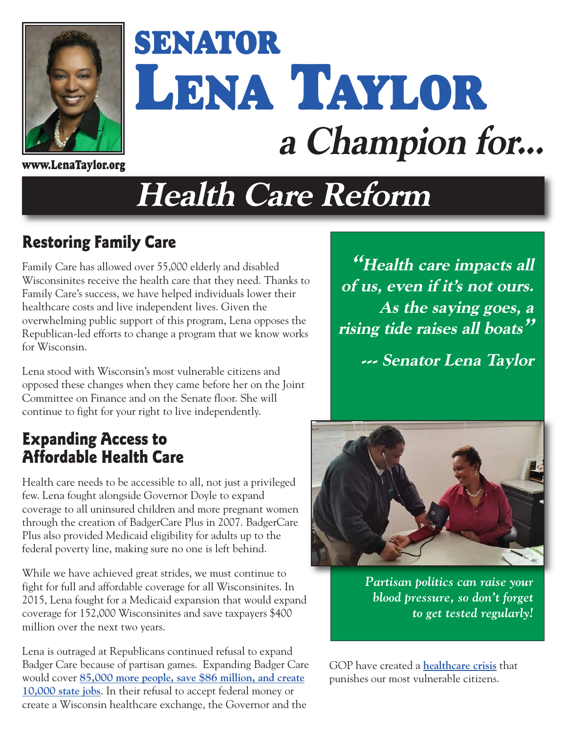

# **SENATOR LENA TAYLOR a Champion for...**

**www.LenaTaylor.org**

# **Health Care Reform**

### **Restoring Family Care**

Family Care has allowed over 55,000 elderly and disabled Wisconsinites receive the health care that they need. Thanks to Family Care's success, we have helped individuals lower their healthcare costs and live independent lives. Given the overwhelming public support of this program, Lena opposes the Republican-led efforts to change a program that we know works for Wisconsin.

Lena stood with Wisconsin's most vulnerable citizens and opposed these changes when they came before her on the Joint Committee on Finance and on the Senate floor. She will continue to fight for your right to live independently.

#### **Expanding Access to Affordable Health Care**

Health care needs to be accessible to all, not just a privileged few. Lena fought alongside Governor Doyle to expand coverage to all uninsured children and more pregnant women through the creation of BadgerCare Plus in 2007. BadgerCare Plus also provided Medicaid eligibility for adults up to the federal poverty line, making sure no one is left behind.

While we have achieved great strides, we must continue to fight for full and affordable coverage for all Wisconsinites. In 2015, Lena fought for a Medicaid expansion that would expand coverage for 152,000 Wisconsinites and save taxpayers \$400 million over the next two years.

Lena is outraged at Republicans continued refusal to expand Badger Care because of partisan games. Expanding Badger Care would cover **[85,000 more people, save \\$86 million, and create](http://www.wisconsinbudgetproject.org/new-lfb-paper-makes-stronger-case-for-taking-federal-medicaid-funds) [10,000 state jobs](http://www.wisconsinbudgetproject.org/new-lfb-paper-makes-stronger-case-for-taking-federal-medicaid-funds)**. In their refusal to accept federal money or create a Wisconsin healthcare exchange, the Governor and the

**"Health care impacts all of us, even if it's not ours. As the saying goes, a rising tide raises all boats"**

**--- Senator Lena Taylor** 



*Partisan politics can raise your blood pressure, so don't forget to get tested regularly!* 

GOP have created a **[healthcare crisis](http://www.jsonline.com/news/opinion/gov-scott-walkers-medicaid-decision-costs-wisconsin-taxpayers-b99333958z1-271930491.html)** that punishes our most vulnerable citizens.